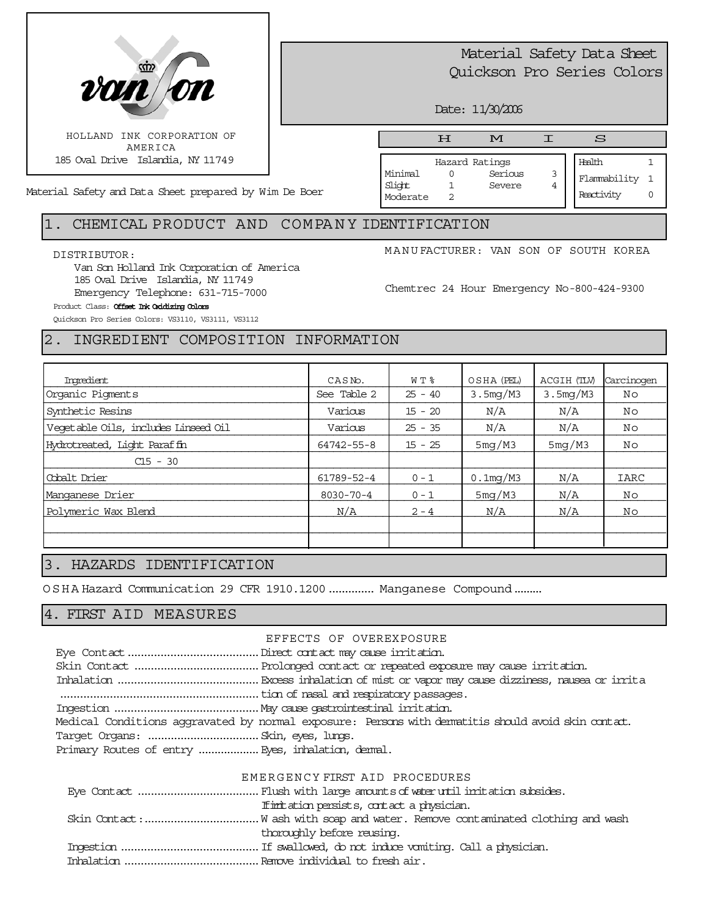

# Material Safety Data Sheet Quickson Pro Series Colors

Date: 11/30/2006

Material Safety and Data Sheet prepared by Wim De Boer

# HMIS

Hazard Ratings Minimal 0 Serious 3 Slight 1 Severe 4 Moderate 2

Health 1 Flammability 1

Reactivity 0

# 1. CHEMICAL PRODUCT AND COMPA N Y IDENTIFICATION

#### DISTRIBUTOR:

Van Son Holland Ink Corporation of America 185 Oval Drive Islandia, NY 11749 Emergency Telephone: 631-715-7000

MANUFACTURER: VAN SON OF SOUTH KOREA

Chemtrec 24 Hour Emergency No-800-424-9300

#### Product Class: Offset Ink Oxidizing Colors

Quickson Pro Series Colors: VS3110, VS3111, VS3112

# 2. INGREDIENT COMPOSITION INFORMATION

| Ingredient                           | CASN <sub>o</sub> . | W T %     | OSHA (PEL)  | ACGIH (TLV) | Carcinogen  |
|--------------------------------------|---------------------|-----------|-------------|-------------|-------------|
| Organic Pigments                     | See Table 2         | $25 - 40$ | 3.5mg/M3    | 3.5mg/M3    | Νo          |
| Synthetic Resins                     | Various             | $15 - 20$ | N/A         | N/A         | No          |
| Vegetable Oils, includes Linseed Oil | Various             | $25 - 35$ | N/A         | N/A         | No          |
| Hydrotreated, Light Paraffin         | 64742-55-8          | $15 - 25$ | 5mg/M3      | 5mg/M3      | Νo          |
| $C15 - 30$                           |                     |           |             |             |             |
| Cobalt Drier                         | 61789-52-4          | $0 - 1$   | $0.1$ mg/M3 | N/A         | <b>IARC</b> |
| Manganese Drier                      | $8030 - 70 - 4$     | $0 - 1$   | 5mg/M3      | N/A         | Νo          |
| Polymeric Wax Blend                  | N/A                 | $2 - 4$   | N/A         | N/A         | Νo          |
|                                      |                     |           |             |             |             |
|                                      |                     |           |             |             |             |

## 3. HAZARDS IDENTIFICATION

OSHA Hazard Communication 29 CFR 1910.1200.............. Manganese Compound.........

# 4. FIRST AID MEASURES

#### EFFECTS OF OVEREXPOSURE

|                                                   | Medical Conditions aggravated by normal exposure: Persons with dematitis should avoid skin contat. |  |
|---------------------------------------------------|----------------------------------------------------------------------------------------------------|--|
|                                                   |                                                                                                    |  |
| Primary Routes of entry  Eyes, inhalation, demal. |                                                                                                    |  |

#### EMERGENCY FIRST AID PROCEDURES

| If initiation persists, contact a physician. |  |
|----------------------------------------------|--|
|                                              |  |
| thoroughly before reusing.                   |  |
|                                              |  |
|                                              |  |
|                                              |  |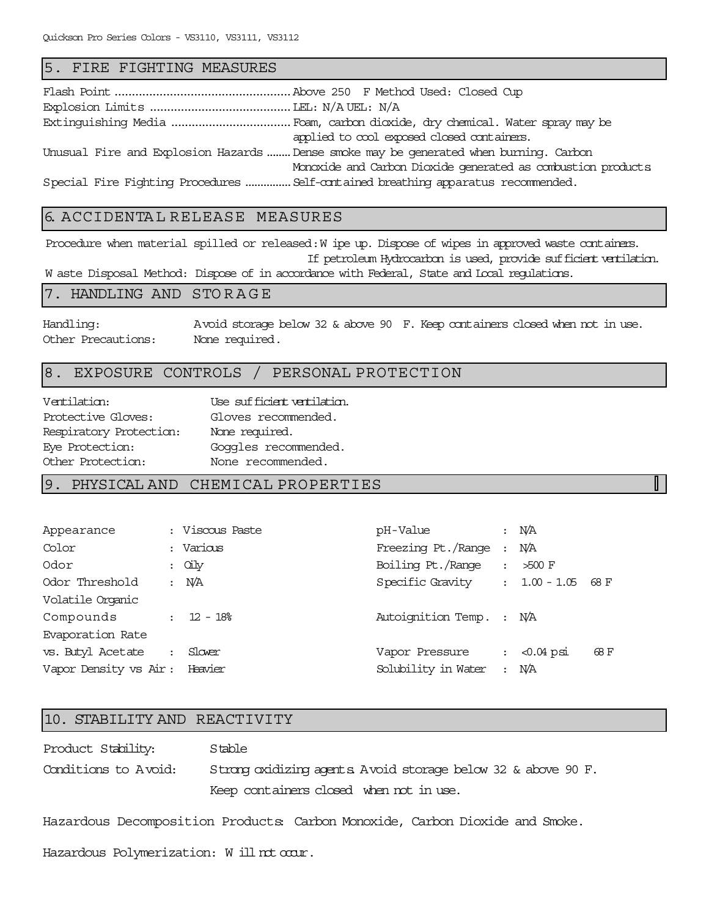#### 5. FIRE FIGHTING MEASURES

| applied to cool exposed closed containers.                                           |
|--------------------------------------------------------------------------------------|
| Unusual Fire and Explosion Hazards Dense smoke may be generated when burning. Carbon |
| Monoxide and Carbon Dioxide generated as combustion products                         |
| Special Fire Fighting Procedures  Self-contained breathing apparatus recommended.    |

# 6. ACCIDENTA L RELEASE MEASURES

Procedure when material spilled or released: W ipe up. Dispose of wipes in approved waste containers. If petroleum Hydrocarbon is used, provide sufficient ventilation. W aste Disposal Method: Dispose of in accordance with Federal, State and Local regulations.

#### 7. HANDLING AND STORAGE

Handling: Avoid storage below 32 & above 90 F. Keep containers closed when not in use. Other Precautions: None required.

 $\mathbb{L}$ 

#### 8. EXPOSURE CONTROLS / PERSONAL PROTECTION

| Ventilation:            | Use sufficient ventilation. |
|-------------------------|-----------------------------|
| Protective Gloves:      | Gloves recommended.         |
| Respiratory Protection: | None required.              |
| Eye Protection:         | Goggles recommended.        |
| Other Protection:       | None recommended.           |

#### 9. PHYSICAL AND CHEMICAL PROPERTIES

| Appearance             | : Viscous Paste | pH-Value                 |                      | $:$ N/A         |      |
|------------------------|-----------------|--------------------------|----------------------|-----------------|------|
| Color                  | : Various       | Freezing Pt./Range       |                      | N/A             |      |
| Odor                   | $:$ Quiy        | Boiling Pt./Range        |                      | $>500$ F        |      |
| Odor Threshold         | : N/A           | Specific Gravity         |                      | $: 1.00 - 1.05$ | 68 F |
| Volatile Organic       |                 |                          |                      |                 |      |
| Compounds              | $: 12 - 18$     | Autoignition Temp. : N/A |                      |                 |      |
| Evaporation Rate       |                 |                          |                      |                 |      |
| vs. Butyl Acetate      | Slover          | Vapor Pressure           | $\ddot{\phantom{a}}$ | $< 0.04$ psi    | 68 F |
| Vapor Density vs Air : | Heavier         | Solubility in Water      | $\mathbf{r}$         | N/A             |      |

#### 10. STABILITY AND REACTIVITY

Product Stability: Stable Conditions to Avoid: Strong oxidizing agents. Avoid storage below 32 & above 90 F. Keep containers closed when not in use.

Hazardous Decomposition Products: Carbon Monoxide, Carbon Dioxide and Smoke.

Hazardous Polymerization: W ill not occur.